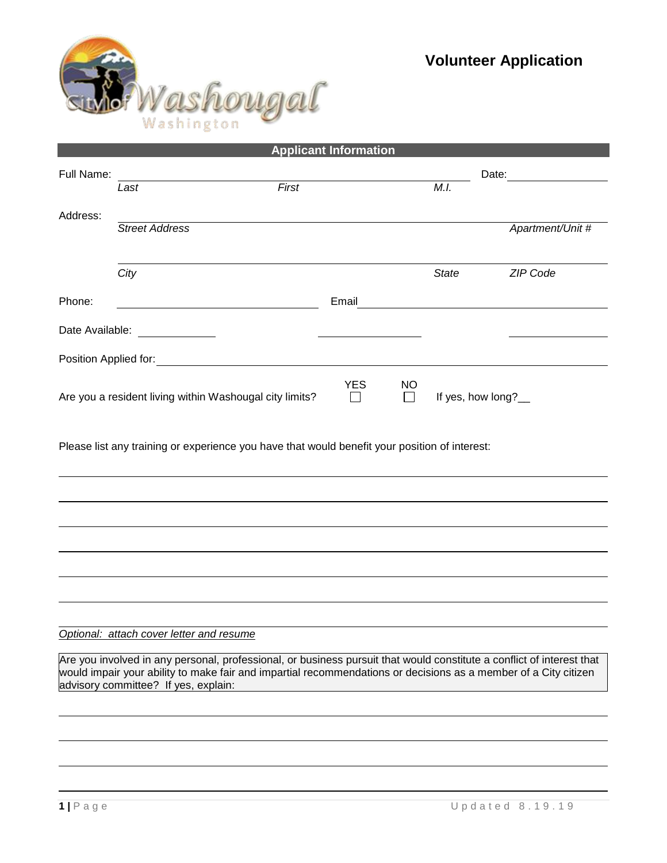

| <b>Applicant Information</b>                                                                  |                                                                                                                                                                                                                                          |                           |                     |       |              |                  |  |
|-----------------------------------------------------------------------------------------------|------------------------------------------------------------------------------------------------------------------------------------------------------------------------------------------------------------------------------------------|---------------------------|---------------------|-------|--------------|------------------|--|
| Full Name:                                                                                    |                                                                                                                                                                                                                                          |                           |                     | Date: |              |                  |  |
|                                                                                               | Last                                                                                                                                                                                                                                     | First                     |                     |       | M.I.         |                  |  |
| Address:                                                                                      |                                                                                                                                                                                                                                          |                           |                     |       |              |                  |  |
|                                                                                               | <b>Street Address</b>                                                                                                                                                                                                                    |                           |                     |       |              | Apartment/Unit # |  |
|                                                                                               |                                                                                                                                                                                                                                          |                           |                     |       |              |                  |  |
|                                                                                               | City                                                                                                                                                                                                                                     |                           |                     |       | <b>State</b> | ZIP Code         |  |
| Phone:                                                                                        |                                                                                                                                                                                                                                          |                           | Email               |       |              |                  |  |
|                                                                                               | Date Available: _____________                                                                                                                                                                                                            |                           |                     |       |              |                  |  |
|                                                                                               | Position Applied for:                                                                                                                                                                                                                    |                           |                     |       |              |                  |  |
|                                                                                               |                                                                                                                                                                                                                                          |                           |                     |       |              |                  |  |
| Are you a resident living within Washougal city limits?                                       | <b>YES</b>                                                                                                                                                                                                                               | <b>NO</b><br>$\mathsf{L}$ | If yes, how long?__ |       |              |                  |  |
| Please list any training or experience you have that would benefit your position of interest: |                                                                                                                                                                                                                                          |                           |                     |       |              |                  |  |
|                                                                                               |                                                                                                                                                                                                                                          |                           |                     |       |              |                  |  |
|                                                                                               |                                                                                                                                                                                                                                          |                           |                     |       |              |                  |  |
|                                                                                               |                                                                                                                                                                                                                                          |                           |                     |       |              |                  |  |
|                                                                                               |                                                                                                                                                                                                                                          |                           |                     |       |              |                  |  |
|                                                                                               |                                                                                                                                                                                                                                          |                           |                     |       |              |                  |  |
|                                                                                               | Optional: attach cover letter and resume                                                                                                                                                                                                 |                           |                     |       |              |                  |  |
|                                                                                               | Are you involved in any personal, professional, or business pursuit that would constitute a conflict of interest that<br>would impair your ability to make fair and impartial recommendations or decisions as a member of a City citizen |                           |                     |       |              |                  |  |

advisory committee? If yes, explain: